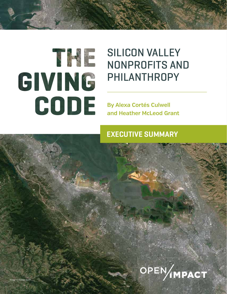

Image © Google Earth

## SILICON VALLEY NONPROFITS AND PHILANTHROPY

THE GIVING CODE | SILICON VALLEY NONPROFITS AND PHILANTHROPY **i**

**By Alexa Cortés Culwell and Heather McLeod Grant**

## **EXECUTIVE SUMMARY**

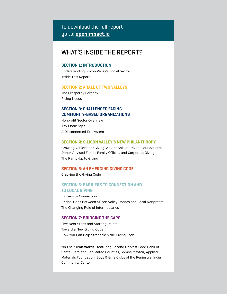### To download the full report go to: **openimpact.io**

## WHAT'S INSIDE THE REPORT?

#### **SECTION 1: INTRODUCTION**

Understanding Silicon Valley's Social Sector Inside This Report

#### **SECTION 2: A TALE OF TWO VALLEYS**

The Prosperity Paradox Rising Needs

#### **SECTION 3: CHALLENGES FACING COMMUNITY-BASED ORGANIZATIONS**

Nonprofit Sector Overview Key Challenges A Disconnected Ecosystem

#### **SECTION 4: SILICON VALLEY'S NEW PHILANTHROPY**

Growing Vehicles for Giving: An Analysis of Private Foundations, Donor-Advised Funds, Family Offices, and Corporate Giving The Ramp-Up to Giving

#### **SECTION 5: AN EMERGING GIVING CODE**

Cracking the Giving Code

#### **SECTION 6: BARRIERS TO CONNECTION AND TO LOCAL GIVING**

Barriers to Connection Critical Gaps Between Silicon Valley Donors and Local Nonprofits The Changing Role of Intermediaries

#### **SECTION 7: BRIDGING THE GAPS**

Five Next Steps and Starting Points Toward a New Giving Code How You Can Help Strengthen the Giving Code

"**In Their Own Words**," featuring Second Harvest Food Bank of Santa Clara and San Mateo Counties, Somos Mayfair, Applied Materials Foundation, Boys & Girls Clubs of the Peninsula, India Community Center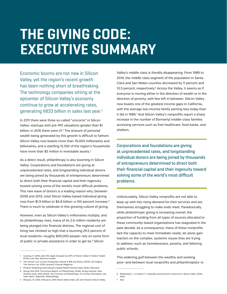# **THE GIVING CODE: EXECUTIVE SUMMARY**

Economic booms are not new in Silicon Valley, yet the region's recent growth has been nothing short of breathtaking. The technology companies sitting at the epicenter of Silicon Valley's economy continue to grow at accelerating rates, generating \$833 billion in sales last year.<sup>1</sup>

In 2011 there were three so-called "unicorns" in Silicon Valley—startups with pre-IPO valuations greater than \$1 billion; in 2016 there were 21.<sup>2</sup> The amount of personal wealth being generated by this growth is difficult to fathom. Silicon Valley now boasts more than 76,000 millionaires and billionaires, and a startling 12,550 of the region's households have more than \$5 million in investable assets.<sup>3</sup>

As a direct result, philanthropy is also booming in Silicon Valley. Corporations and foundations are giving at unprecedented rates, and longstanding individual donors are being joined by thousands of entrepreneurs determined to direct both their financial capital and their ingenuity toward solving some of the world's most difficult problems. This new wave of donors is a leading reason why, between 2008 and 2013, total Silicon Valley-based individual giving rose from \$1.9 billion to \$4.8 billion—a 150 percent increase.4 There is much to celebrate in this growing culture of giving.

However, even as Silicon Valley's millionaires multiply, and its philanthropy rises, many of its 2.6 million residents are being plunged into financial distress. The regional cost of living has climbed so high that a stunning 29.5 percent of local residents—roughly 800,000 people—rely on some form of public or private assistance in order to get by.<sup>5</sup> Silicon

Valley's middle class is literally disappearing. From 1989 to 2014, the middle class segment of the population in Santa Clara and San Mateo counties decreased by 11 percent and 10.5 percent, respectively.<sup>6</sup> Across the Valley, it seems as if everyone is moving either in the direction of wealth or in the direction of poverty, with few left in between. Silicon Valley now boasts one of the greatest income gaps in California, with the average low-income family earning less today than it did in 1989.<sup>7</sup> And Silicon Valley's nonprofits report a sharp increase in the number of (formerly) middle-class families accessing services such as free healthcare, food banks, and shelters.

Corporations and foundations are giving at unprecedented rates, and longstanding individual donors are being joined by thousands of entrepreneurs determined to direct both their financial capital and their ingenuity toward solving some of the world's most difficult problems.

Unfortunately, Silicon Valley nonprofits are not able to keep up with this rising demand for their services and are themselves struggling to make ends meet. Paradoxically, while philanthropic giving is increasing overall, the proportion of funding from all types of sources allocated to these community-based organizations has stagnated in the past decade. As a consequence, many of these nonprofits lack the capacity to meet immediate needs, let alone gain traction on the complex, systemic issues they are trying to address—such as homelessness, poverty, and faltering public schools.

This widening gulf between the wealthy and working poor—and between local nonprofits and philanthropists—is

<sup>1</sup> Leswing, K. (2016, April 25). Apple Scooped Up 40% of Silicon Valley's Publicly Traded Profits Last Year. *Business Insider*.

<sup>2</sup> The Unicorn List: Current Companies Valued at \$1B and Above. (2016). CB Insights; The Unicorn List. (2016, January). *Fortune Magazine*.

<sup>3</sup> Phoenix Marketing International's Global Wealth Monitor data. (2016, February).

<sup>4</sup> Giving USA 2016: The Annual Report on Philanthropy. (2016). Giving Institute. How America Gives 2014. (2014). *The Chronicle of Philanthropy*. For further information, see main report, Appendix: Methodology.

<sup>5</sup> Massaro, R. (2016, February). 2016 Silicon Valley Index, 28. Joint Venture Silicon Valley.

<sup>6</sup> Reidenbach, L., & Hoene, C. Inequality and Economic Insecurity in Silicon Valley. (2016, May).

<sup>7</sup> Ibid.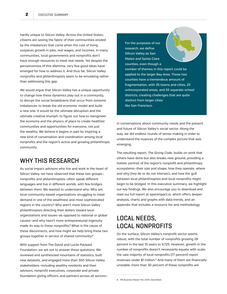hardly unique to Silicon Valley. Across the United States, citizens are seeing the fabric of their communities eroded by the imbalances that come when the cost of living outpaces growth in jobs, real wages, and incomes. In many communities, local governments and nonprofits don't have enough resources to meet real needs. Yet despite the pervasiveness of this dilemma, very few good ideas have emerged for how to address it. And thus far, Silicon Valley nonprofits and philanthropists seem to be emulating rather than addressing this gap.

We would argue that Silicon Valley has a unique opportunity to change how these dynamics play out in a community, to disrupt the social breakdowns that occur from extreme imbalances, to break the old economic model and build a new one. It would be the ultimate disruption and the ultimate creative triumph: to figure out how to reengineer the economy and the physics of place to create healthier communities and opportunities for everyone, not just the wealthy. We believe it begins in part by inspiring a new kind of conversation and coordination among local nonprofits and the region's active and growing philanthropic community.

## WHY THIS RESEARCH

As social impact advisors who live and work in the heart of Silicon Valley, we have observed that these two groups nonprofits and philanthropists—often speak different languages and live in different worlds, with few bridges between them. We wanted to understand why: Why are local community-based organizations struggling to meet demand in one of the wealthiest and most sophisticated regions in the country? Why aren't more Silicon Valley philanthropists directing their dollars toward local organizations and issues—as opposed to national or global causes—and why hasn't more entrepreneurial ingenuity made its way to these nonprofits? What is the cause of these disconnects, and how might we help bring these two groups together in service of shared community?

With support from The David and Lucile Packard Foundation, we set out to answer these questions. We reviewed and synthesized mountains of statistics, built new datasets, and engaged more than 300 Silicon Valley stakeholders—including wealthy residents and their advisors, nonprofit executives, corporate and private foundation giving officers, and partners across all sectorsFor the purposes of our research, we define Silicon Valley as San Mateo and Santa Clara counties, even though a number of themes in this report could be applied to the larger Bay Area. These two counties have a tremendous amount of fragmentation, with 35 towns and cities, 25 unincorporated areas, and 55 separate school districts, creating challenges that are quite distinct from larger cities like San Francisco.

in conversations about community needs and the present and future of Silicon Valley's social sector. Along the way, we did endless rounds of sense-making in order to understand the nuances of the complex picture that was emerging.

The resulting report, *The Giving Code*, builds on work that others have done but also breaks new ground, providing a holistic portrait of the region's nonprofit and philanthropy ecosystems—their size and shape, how they operate, where and why they do or do not intersect, and how the gulf between local philanthropists and local nonprofits might begin to be bridged. In this executive summary, we highlight our key findings. We also encourage you to download and read our full report at openimpact.io, which offers deeper analysis, charts and graphs with data trends, and an appendix that includes a resource list and methodology.

## LOCAL NEEDS, LOCAL NONPROFITS

On the surface, Silicon Valley's nonprofit sector seems robust, with the total number of nonprofits growing 28 percent in the last 10 years to 9,725. However, growth in the number of nonprofits doesn't necessarily equate with scale; the vast majority of local nonprofits (77 percent) report revenues under \$1 million.<sup>8</sup> And many of them are financially unstable: more than 30 percent of these nonprofits are

8 IRS Business Master File. (2015, December).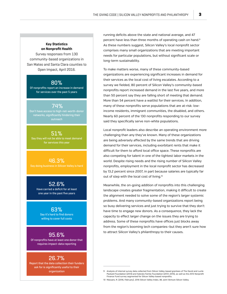#### **Key Statistics on Nonprofit Health**

Survey responses from 130 community-based organizations in San Mateo and Santa Clara counties to Open Impact, April 2016.

#### 80%

Of nonprofits report an increase in demand for services over the past 5 years

 74% Don't have access to high-net-worth-donor networks, significantly hindering their outreach

51% Say they will not be able to meet demand for services this year

46.3% Say doing business in Silicon Valley is hard

52.6% Have carried a deficit for at least one year in the past five years

> 63% Say it's hard to find donors willing to cover full costs

> > 95.6%

Of nonprofits have at least one donor that requires impact-data reporting

#### 26.7%

Report that the data collection their funders ask for is significantly useful to their organization

running deficits above the state and national average, and 47 percent have less than three months of operating cash on hand.9 As these numbers suggest, Silicon Valley's local nonprofit sector comprises many small organizations that are meeting important needs for particular populations, but without significant scale or long-term sustainability.

To make matters worse, many of these community-based organizations are experiencing significant increases in demand for their services as the local cost of living escalates. According to a survey we fielded, 80 percent of Silicon Valley's community-based nonprofits report increased demand in the last five years, and more than 50 percent say they are falling short of meeting that demand. More than 54 percent have a waitlist for their services. In addition, many of these nonprofits serve populations that are at-risk: lowincome residents, immigrant communities, the disabled, and others. Nearly 60 percent of the 130 nonprofits responding to our survey said they specifically serve non-white populations.

Local nonprofit leaders also describe an operating environment more challenging than any they've known. Many of these organizations are being adversely affected by the same trends that are driving demand for their services, including exorbitant rents that make it difficult for them to afford local office space. These nonprofits are also competing for talent in one of the tightest labor markets in the world. Despite rising needs and the rising number of Silicon Valley nonprofits, employment in the local nonprofit sector has decreased by 13.2 percent since 2007, in part because salaries are typically far out of step with the local cost of living.10

Meanwhile, the on-going addition of nonprofits into this challenging landscape creates greater fragmentation, making it difficult to create the alignment needed to solve some of the region's larger systemic problems. And many community-based organizations report being so busy delivering services and just trying to survive that they don't have time to engage new donors. As a consequence, they lack the capacity to effect larger change on the issues they are trying to address. Some of these nonprofits have offices just blocks away from the region's booming tech companies—but they aren't sure how to attract Silicon Valley's philanthropy to their causes.

<sup>9</sup> Analysis of internal survey data collected from Silicon Valley-based grantees of The David and Lucile Packard Foundation (2013) and Sobrato Family Foundation (2013–2015), as well as the 2013 Nonprofit Finance Fund survey segmented for Silicon Valley-based nonprofits.

<sup>10</sup> Massaro, R. (2016, February). 2016 Silicon Valley Index, 86. Joint Venture Silicon Valley.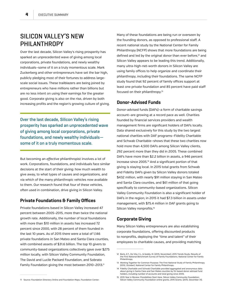## SILICON VALLEY'S NEW PHILANTHROPY

Over the last decade, Silicon Valley's rising prosperity has sparked an unprecedented wave of giving among local corporations, private foundations, and newly wealthy individuals—some of it on a truly momentous scale. Mark Zuckerberg and other entrepreneurs have set the bar high, publicly pledging most of their fortunes to address largescale social issues. These trailblazers are being joined by entrepreneurs who have millions rather than billions but are no less intent on using their earnings for the greater good. Corporate giving is also on the rise, driven by both increasing profits and the region's growing culture of giving.

Over the last decade, Silicon Valley's rising prosperity has sparked an unprecedented wave of giving among local corporations, private foundations, and newly wealthy individuals some of it on a truly momentous scale.

But becoming an *effective* philanthropist involves a lot of work. Corporations, foundations, and individuals face similar decisions at the start of their giving: how much wealth to give away, to what types of causes and organizations, and via which of the many philanthropic vehicles now available to them. Our research found that four of these vehicles, often used in combination, drive giving in Silicon Valley.

#### **Private Foundations & Family Offices**

Private foundations based in Silicon Valley increased 47 percent between 2005–2015, more than twice the national growth rate. Additionally, the number of local foundations with more than \$10 million in assets has increased 72 percent since 2000, with 28 percent of them founded in the last 10 years. As of 2015 there were a total of 1,146 private foundations in San Mateo and Santa Clara counties, with combined assets of \$31.6 billion. The top 10 givers to community-based organizations collectively gave over \$275 million locally, with Silicon Valley Community Foundation, The David and Lucile Packard Foundation, and Sobrato Family Foundation giving the most between 2010-2013.<sup>11</sup>

Many of these foundations are being run or overseen by the founding donors, as opposed to professional staff. A recent national study by the National Center for Family Philanthropy (NCFP) shows that more foundations are being defined and led by the original donor than ever before,<sup>12</sup> and Silicon Valley appears to be leading this trend. Additionally, many ultra-high-net-worth donors in Silicon Valley are using family offices to help organize and coordinate their philanthropy, including their foundations. The same NCFP study found that 92 percent of family offices support at least one private foundation and 85 percent have paid staff focused on their philanthropy.13

#### **Donor-Advised Funds**

Donor-advised funds (DAFs)—a form of charitable savings account—are growing at a record pace as well. Charities founded by financial services providers and wealth management firms are significant holders of DAFs locally. Data shared exclusively for this study by the two largest national charities with DAF programs—Fidelity Charitable and Schwab Charitable—shows that these two charities now hold more than 4,500 DAFs among Silicon Valley clients, 292 percent more than they did in 2005. These combined DAFs have more than \$2.2 billion in assets, a 946 percent increase since 2005.14 And a significant portion of that giving is staying local. In 2015 total grants from Schwab and Fidelity DAFs given by Silicon Valley donors totaled \$432 million, with nearly \$91 million staying in San Mateo and Santa Clara counties, and \$61 million of that going specifically to community-based organizations. Silicon Valley Community Foundation is also a significant holder of DAFs in the region; in 2015 it had \$7.3 billion in assets under management, with \$75.4 million in DAF grants going to Silicon Valley nonprofits.<sup>15</sup>

#### **Corporate Giving**

Many Silicon Valley entrepreneurs are also establishing corporate foundations, offering discounted products to nonprofits, deploying the "time and talent" of their employees to charitable causes, and providing matching

<sup>12</sup> Boris, E.T., De Vita, C.J., & Goddy, M. (2015, November). 2015 Trends Study: Results of the First National Benchmark Survey of Family Foundations. National Center for Family Philanthropy.

<sup>13</sup> Working Together for Common Purpose: The First National Study of Family Philanthropy. (2012, October). National Center for Family Philanthropy.

<sup>14</sup> Fidelity Charitable and Schwab Charitable provided aggregated and anonymous data about giving in Santa Clara and San Mateo counties by SV-based donor-advised fund holders, including number of accounts and total giving since 2005.

<sup>11</sup> Source: Foundation Directory Online and Foundation Maps, Foundation Center.

<sup>15</sup> 2015 Year in Review: Possibilities Start Here. Silicon Valley Community Foundation; Silicon Valley Community Foundation online grants, 2015 Grants. (2015, December 31).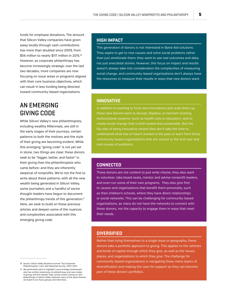funds for employee donations. The amount that Silicon Valley companies have given away locally through cash contributions has more than doubled since 2009, from \$56 million to nearly \$117 million in 2015.<sup>16</sup> However, as corporate philanthropy has become increasingly strategic over the last two decades, more companies are now focusing on issue areas or programs aligned with their core business objectives, which can result in less funding being directed toward community-based organizations.

## AN EMERGING GIVING CODE

While Silicon Valley's new philanthropists, including wealthy Millennials, are still in the early stages of their journeys, certain patterns to both the motives and the style of their giving are becoming evident. While this emerging "giving code" is not yet set in stone, two things are clear: these donors seek to be "bigger, better, and faster" in their giving than the philanthropists who came before—and they are inherently skeptical of nonprofits. We're not the first to write about these patterns: with all the new wealth being generated in Silicon Valley, some journalists and a handful of sector thought-leaders have begun to document the philanthropy trends of this generation.<sup>17</sup> Here, we seek to build on these previous articles and deepen some of the nuances and complexities associated with this emerging giving code.

#### **HIGH IMPACT**

This generation of donors is not interested in Band-Aid solutions. They aspire to get to root causes and solve social problems rather than just ameliorate them; they want to see real outcomes and data, not just anecdotal stories. However, this focus on impact and results doesn't always take into consideration the complexities of measuring social change, and community-based organizations don't always have the resources to measure their results in ways that new donors want.

#### **INNOVATIVE**

In addition to wanting to fund new innovations and scale them up, these new donors want to disrupt, displace, or reinvent existing dysfunctional systems—such as health care or education—and to create social change that is both scaled and sustainable. But the flip side of being innovative means they don't take the time to understand what has or hasn't worked in the past or learn from those community-based organizations that are closest to the end user and root causes of problems.

#### **CONNECTED**

These donors are not content to just write checks; they also want to volunteer, take board seats, mentor and advise nonprofit leaders, and even run some of their own programs. They also give first to causes and organizations that benefit them personally, such as their children's schools, where they have direct relationships or social networks. This can be challenging for community-based organizations, as many do not have the networks to connect with these donors, nor the capacity to engage them in ways that meet their needs.

#### **DIVERSIFIED**

Rather than tying themselves to a single issue or geography, these donors take a portfolio approach to giving. This applies to the vehicles and kinds of capital through which they give, as well as the issues, places, and organizations to which they give. The challenge for community-based organizations is navigating these many layers of diversification and making the case for support so they can become part of these donors' portfolios.

<sup>16</sup> Source: Silicon Valley Business Journal "Top Corporat Philanthropists" Lists, Self-Reported Survey; 2007–2015.

<sup>17</sup> We particularly want to highlight Laura Arrillaga-Andreessen, who has written extensively on philanthropy and new modes of giving, and Kim Dasher Tripp, whose recent writing on new philanthropy in Silicon Valley captured many of the same themes we heard in our focus groups and interviews.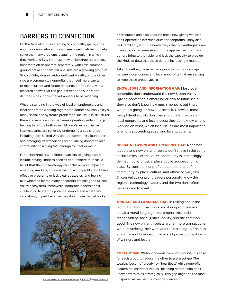## BARRIERS TO CONNECTION

On the face of it, this emerging Silicon Valley giving code and the donors who embody it seem well matched to help solve the many problems plaguing the region in which they work and live. Yet these new philanthropists and local nonprofits often operate separately, with little common ground between them. On one side are a growing group of Silicon Valley donors with significant wealth; on the other side are community nonprofits that need more capital to meet current and future demands. Unfortunately, our research shows that the gap between the supply and demand sides in this market appears to be widening.

What is standing in the way of local philanthropists and local nonprofits working together to address Silicon Valley's many social and systemic problems? One issue is structural: there are very few intermediaries operating within this gap, helping to bridge both sides. Silicon Valley's social sector intermediaries are currently undergoing a sea change including both United Way and the community foundation and emerging intermediaries aren't linking donors to local community or scaling fast enough to meet demand.

For philanthropists, additional barriers to giving locally include having limitless choices about where to focus; a belief that their philanthropy can achieve more impact in emerging markets; concern that local nonprofits don't have effective programs or lack clear strategies; and feeling overwhelmed by the many nonprofits crowding the Silicon Valley ecosystem. Meanwhile, nonprofit leaders find it challenging to identify potential donors and what they care about, in part because they don't have the networks

or resources and also because these new giving vehicles don't operate as intermediaries for nonprofits. Many also lack familiarity with the newer ways that philanthropists are giving, report an unease about the approaches that new donors bring to the table, and lack the capacity to provide the kinds of data that these donors increasingly require.

Taken together, these barriers point to four critical gaps between local donors and local nonprofits that are serving to keep these groups apart:

KNOWLEDGE AND INFORMATION GAP: Most local nonprofits don't understand the new Silicon Valley "giving code" that is emerging or how to influence it; they also don't know how much money is out there, where it's going, or how to access it. Likewise, most new philanthropists don't have good information on local nonprofits and local needs: they don't know who is working on what, which local issues are most important, or who is succeeding at solving local problems.

SOCIAL NETWORK AND EXPERIENCE GAP: Nonprofit leaders and new philanthropists don't move in the same social circles. For the latter, community is increasingly defined not by physical place but by socioeconomic class. By contrast, nonprofit leaders tend to define community by place, culture, and ethnicity. Very few Silicon Valley nonprofit leaders personally know the region's technology leaders, and the two don't often have reason to meet.

MINDSET AND LANGUAGE GAP: In talking about the world and about their work, most nonprofit leaders speak a moral language that emphasizes social responsibility, social justice, equity, and the common good. The new philanthropists are far more transactional when describing their work and their strategies. Theirs is a language of finance, of metrics, of power, of capitalism, of winners and losers.

**EMPATHY GAP:** Without obvious common ground, it is easy for each group to reduce the other to a stereotype. The wealthy become "greedy" or "heartless," while nonprofit leaders are characterized as "bleeding hearts" who don't know how to think strategically. This gap might be the most "Ancient Oaks catch the evening glow" (CC BY 2.0) by litze Couperus unspoken as well as the most dangerous.

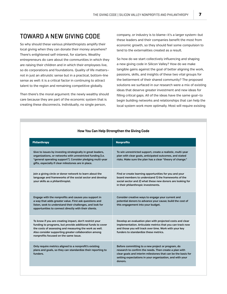## TOWARD A NEW GIVING CODE

So why should these various philanthropists amplify their local giving when they can donate their money anywhere? There's enlightened self-interest, for starters. Wealthy entrepreneurs do care about the communities in which they are raising their children and in which their employees live, so do corporations and foundations. Quality of life matters not in just an altruistic sense but in a practical, bottom-line sense as well: it is a critical factor in continuing to attract talent to the region and remaining competitive globally.

Then there's the moral argument: the newly wealthy should care because they are part of the economic system that is creating these disconnects. Individually, no single person,

company, or industry is to blame—it's a larger system—but these leaders and their companies benefit the most from economic growth, so they should feel some compulsion to tend to the externalities created as a result.

So how do we start collectively influencing and shaping a new giving code in Silicon Valley? How do we make tangible gains against the goal of better aligning the work, passions, skills, and insights of these two vital groups for the betterment of their shared community? The proposed solutions we surfaced in our research were a mix of existing ideas that deserve greater investment and new ideas for filling critical gaps. All of the ideas have the same goal—to begin building networks and relationships that can help the local system work more optimally. Most will require existing

| Philanthropy                                                                                                                                                                                                                                                                     | <b>Nonprofits</b>                                                                                                                                                                                                                                  |
|----------------------------------------------------------------------------------------------------------------------------------------------------------------------------------------------------------------------------------------------------------------------------------|----------------------------------------------------------------------------------------------------------------------------------------------------------------------------------------------------------------------------------------------------|
| Give to issues by investing strategically in great leaders,<br>organizations, or networks with unrestricted funding (i.e.<br>"general operating support"). Consider pledging multi-year<br>gifts, especially if clear milestones are in place.                                   | To win unrestricted support, create a realistic, multi-year<br>plan with clear goals, anticipated outcomes, and stated<br>risks. Make sure the plan has a clear "theory of change."                                                                |
| Join a giving circle or donor network to learn about the<br>language and frameworks of the social sector and develop<br>your skills as a philanthropist.                                                                                                                         | Find or create learning opportunities for you and your<br>board members to understand 1 the frameworks of the<br>social sector and 2) what these new donors are looking for<br>in their philanthropic investments.                                 |
| Engage with the nonprofits and causes you support in<br>a way that adds greater value. First ask questions and<br>listen, seek to understand their challenges, and look for<br>opportunities to connect directly with their clients.                                             | Consider creative ways to engage your current and<br>potential donors to advance your cause; build the cost of<br>this engagement into your budget.                                                                                                |
| To know if you are creating impact, don't restrict your<br>funding to programs, but provide additional funds to cover<br>the costs of assessing and measuring the work as well.<br>Also consider supporting greater collaboration among<br>nonprofits focused on the same issue. | Develop an evaluation plan with projected costs and clear<br>implementation. Articulate metrics that you can track now<br>and those you will track over time. Work with your key<br>funders to standardize these metrics.                          |
| Only require metrics aligned to a nonprofit's existing<br>plans and goals, so they can standardize their reporting to<br>funders.                                                                                                                                                | Before committing to a new project or program, do<br>research to confirm the needs. Then create a plan with<br>clear goals and interim milestones that can be the basis for<br>setting expectations in your organization, and with your<br>donors. |

#### **How You Can Help Strengthen the Giving Code**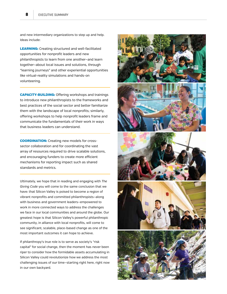and new intermediary organizations to step up and help. Ideas include:

LEARNING: Creating structured and well-facilitated opportunities for nonprofit leaders and new philanthropists to learn from one another—and learn together—about local issues and solutions, through "learning journeys" and other experiential opportunities like virtual-reality simulations and hands-on volunteering.

CAPACITY-BUILDING: Offering workshops and trainings to introduce new philanthropists to the frameworks and best practices of the social sector and better familiarize them with the landscape of local nonprofits; similarly, offering workshops to help nonprofit leaders frame and communicate the fundamentals of their work in ways that business leaders can understand.

COORDINATION: Creating new models for crosssector collaboration and for coordinating the vast array of resources required to drive scalable solutions, and encouraging funders to create more efficient mechanisms for reporting impact such as shared standards and metrics.

Ultimately, we hope that in reading and engaging with *The Giving Code* you will come to the same conclusion that we have: that Silicon Valley is poised to become a region of vibrant nonprofits and committed philanthropists—along with business and government leaders—empowered to work in more connected ways to address the challenges we face in our local communities and around the globe. Our greatest hope is that Silicon Valley's powerful philanthropic community, in alliance with local nonprofits, will come to see significant, scalable, place-based change as one of the most important outcomes it can hope to achieve.

If philanthropy's true role is to serve as society's "risk capital" for social change, then the moment has never been riper to consider how the formidable assets accumulating in Silicon Valley could revolutionize how we address the most challenging issues of our time—starting right here, right now in our own backyard.

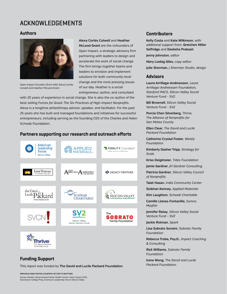## ACKNOWLEDGEMENTS

#### **Authors**



Open Impact founders (from left): Alexa Cortés Culwell and Heather McLeod Grant

**Alexa Cortés Culwell** and **Heather McLeod Grant** are the cofounders of Open Impact, a strategic advisory firm partnering with leaders to design and accelerate the work of social change. The firm brings together teams and leaders to envision and implement solutions for both community-level change and the most pressing issues of our day. Heather is a social entrepreneur, author, and consultant

with 25 years of experience in social change. She is also the co-author of the best-selling *Forces for Good: The Six Practices of High-Impact Nonprofits*. Alexa is a longtime philanthropy advisor, speaker, and facilitator. For the past 25 years she has built and managed foundations and initiatives for successful entrepreneurs, including serving as the founding CEO of the Charles and Helen Schwab Foundation.

#### **Partners supporting our research and outreach efforts**



#### **Funding Support**

This report was funded by **The David and Lucile Packard Foundation**.

#### **Contributors**

**Kelly Costa** and **Kate Wilkinson**, with additional support from: **Gretchen Miller Selfridge** and **Deeksha Prakash**

**Jenny Johnston**, *editor*

**Mary Loebig Giles**, *copy editor*

**Julie Sherman**, *J Sherman Studio, design*

#### **Advisors**

**Laura Arrillaga-Andreessen**, *Laura Arrillaga-Andreessen Foundation, Stanford PACS, Silicon Valley Social Venture Fund - SV2* 

**Bill Brownell**, *Silicon Valley Social Venture Fund - SV2* 

**Porcia Chen Silverberg**, *Thrive, The Alliance of Nonprofits for San Mateo County* 

**Ellen Clear**, *The David and Lucile Packard Foundation* 

**Catherine Crystal Foster**, *Westly Foundation* 

**Kimberly Dasher Tripp**, *Strategy for Scale* 

**Kriss Deiglmeier**, *Tides Foundation* 

**Jamie Gardner**, *JH Gardner Consulting* 

**Patricia Gardner**, *Silicon Valley Council of Nonprofits* 

**Talat Hasan**, *India Community Center* 

**Siobhan Kenney**, *Applied Materials* 

**Kim Laughton**, *Schwab Charitable* 

**Camille Llanes-Fontanilla**, *Somos Mayfair* 

**Jennifer Ratay**, *Silicon Valley Social Venture Fund - SV2* 

**Jackie Rotman**, *Spark* 

**Lisa Sobrato Sonsini**, *Sobrato Family Foundation* 

**Rebecca Trobe, Psy.D.**, *Impact Coaching & Consulting* 

**Rick Williams**, *Sobrato Family Foundation* 

**Irene Wong**, *The David and Lucile Packard Foundation*